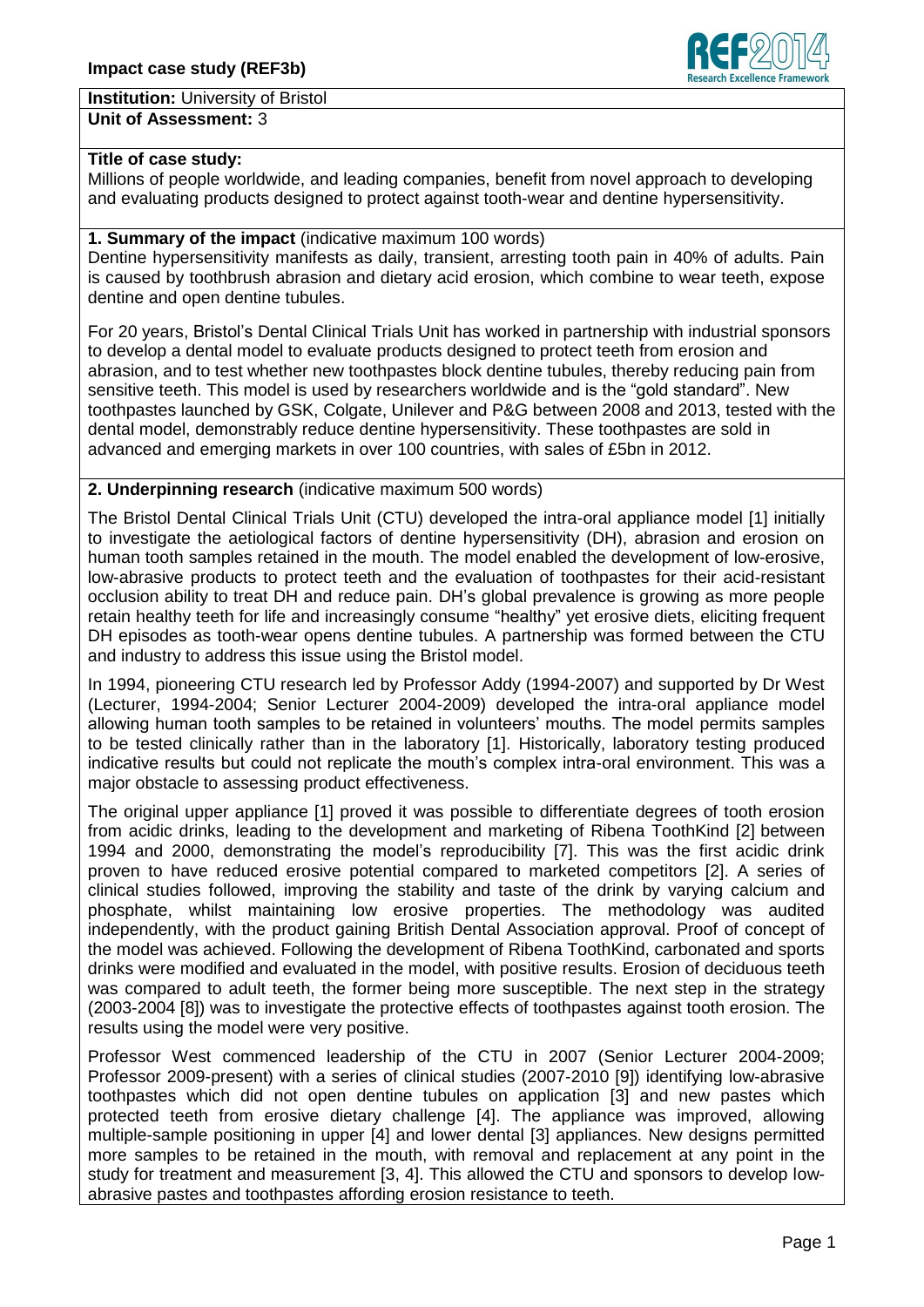**Institution:** University of Bristol

**Unit of Assessment:** 3

### **Title of case study:**

Millions of people worldwide, and leading companies, benefit from novel approach to developing and evaluating products designed to protect against tooth-wear and dentine hypersensitivity.

### **1. Summary of the impact** (indicative maximum 100 words)

Dentine hypersensitivity manifests as daily, transient, arresting tooth pain in 40% of adults. Pain is caused by toothbrush abrasion and dietary acid erosion, which combine to wear teeth, expose dentine and open dentine tubules.

For 20 years, Bristol's Dental Clinical Trials Unit has worked in partnership with industrial sponsors to develop a dental model to evaluate products designed to protect teeth from erosion and abrasion, and to test whether new toothpastes block dentine tubules, thereby reducing pain from sensitive teeth. This model is used by researchers worldwide and is the "gold standard". New toothpastes launched by GSK, Colgate, Unilever and P&G between 2008 and 2013, tested with the dental model, demonstrably reduce dentine hypersensitivity. These toothpastes are sold in advanced and emerging markets in over 100 countries, with sales of £5bn in 2012.

### **2. Underpinning research** (indicative maximum 500 words)

The Bristol Dental Clinical Trials Unit (CTU) developed the intra-oral appliance model [1] initially to investigate the aetiological factors of dentine hypersensitivity (DH), abrasion and erosion on human tooth samples retained in the mouth. The model enabled the development of low-erosive, low-abrasive products to protect teeth and the evaluation of toothpastes for their acid-resistant occlusion ability to treat DH and reduce pain. DH's global prevalence is growing as more people retain healthy teeth for life and increasingly consume "healthy" yet erosive diets, eliciting frequent DH episodes as tooth-wear opens dentine tubules. A partnership was formed between the CTU and industry to address this issue using the Bristol model.

In 1994, pioneering CTU research led by Professor Addy (1994-2007) and supported by Dr West (Lecturer, 1994-2004; Senior Lecturer 2004-2009) developed the intra-oral appliance model allowing human tooth samples to be retained in volunteers' mouths. The model permits samples to be tested clinically rather than in the laboratory [1]. Historically, laboratory testing produced indicative results but could not replicate the mouth's complex intra-oral environment. This was a major obstacle to assessing product effectiveness.

The original upper appliance [1] proved it was possible to differentiate degrees of tooth erosion from acidic drinks, leading to the development and marketing of Ribena ToothKind [2] between 1994 and 2000, demonstrating the model's reproducibility [7]. This was the first acidic drink proven to have reduced erosive potential compared to marketed competitors [2]. A series of clinical studies followed, improving the stability and taste of the drink by varying calcium and phosphate, whilst maintaining low erosive properties. The methodology was audited independently, with the product gaining British Dental Association approval. Proof of concept of the model was achieved. Following the development of Ribena ToothKind, carbonated and sports drinks were modified and evaluated in the model, with positive results. Erosion of deciduous teeth was compared to adult teeth, the former being more susceptible. The next step in the strategy (2003-2004 [8]) was to investigate the protective effects of toothpastes against tooth erosion. The results using the model were very positive.

Professor West commenced leadership of the CTU in 2007 (Senior Lecturer 2004-2009; Professor 2009-present) with a series of clinical studies (2007-2010 [9]) identifying low-abrasive toothpastes which did not open dentine tubules on application [3] and new pastes which protected teeth from erosive dietary challenge [4]. The appliance was improved, allowing multiple-sample positioning in upper [4] and lower dental [3] appliances. New designs permitted more samples to be retained in the mouth, with removal and replacement at any point in the study for treatment and measurement [3, 4]. This allowed the CTU and sponsors to develop lowabrasive pastes and toothpastes affording erosion resistance to teeth.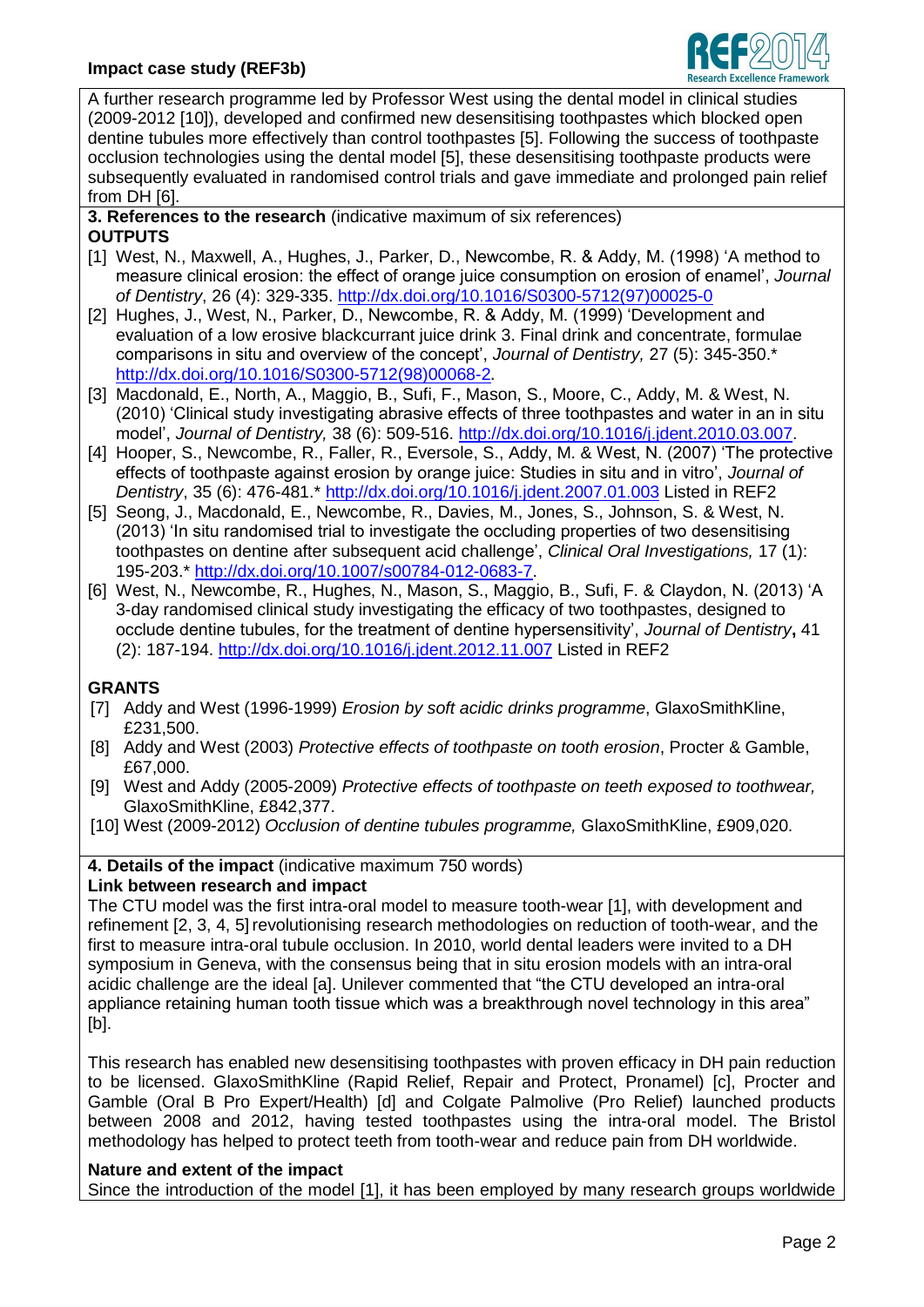

A further research programme led by Professor West using the dental model in clinical studies (2009-2012 [10]), developed and confirmed new desensitising toothpastes which blocked open dentine tubules more effectively than control toothpastes [5]. Following the success of toothpaste occlusion technologies using the dental model [5], these desensitising toothpaste products were subsequently evaluated in randomised control trials and gave immediate and prolonged pain relief from DH [6].

**3. References to the research** (indicative maximum of six references) **OUTPUTS**

- [1] West, N., Maxwell, A., Hughes, J., Parker, D., Newcombe, R. & Addy, M. (1998) ['A method to](http://www.ncbi.nlm.nih.gov/pubmed/9611938)  [measure clinical erosion: the effect of orange juice consumption on erosion of enamel',](http://www.ncbi.nlm.nih.gov/pubmed/9611938) *Journal of Dentistry*, 26 (4): 329-335. [http://dx.doi.org/10.1016/S0300-5712\(97\)00025-0](http://dx.doi.org/10.1016/S0300-5712(97)00025-0)
- [2] Hughes, J., West, N., Parker, D., Newcombe, R. & Addy, M. (1999) ['Development and](http://www.ncbi.nlm.nih.gov/pubmed/10377609)  [evaluation of a low erosive blackcurrant juice drink](http://www.ncbi.nlm.nih.gov/pubmed/10377609) 3. Final drink and concentrate, formulae [comparisons in situ and overview of the concept',](http://www.ncbi.nlm.nih.gov/pubmed/10377609) *Journal of Dentistry,* 27 (5): 345-350.\* [http://dx.doi.org/10.1016/S0300-5712\(98\)00068-2](http://dx.doi.org/10.1016/S0300-5712(98)00068-2)**.**
- [3] Macdonald, E., North, A., Maggio, B., Sufi, F., Mason, S., Moore, C., Addy, M. & West, N. (2010) 'Clinical study investigating abrasive effects of three toothpastes and water in an in situ model', *Journal of Dentistry,* 38 (6): 509-516. [http://dx.doi.org/10.1016/j.jdent.2010.03.007.](http://dx.doi.org/10.1016/j.jdent.2010.03.007)
- [4] Hooper, S., Newcombe, R., Faller, R., Eversole, S., Addy, M. & West, N. (2007) 'The protective effects of toothpaste against erosion by orange juice: Studies in situ and in vitro', *Journal of Dentistry*, 35 (6): 476-481.\*<http://dx.doi.org/10.1016/j.jdent.2007.01.003> Listed in REF2
- [5] Seong, J., Macdonald, E., Newcombe, R., Davies, M., Jones, S., Johnson, S. & West, N. (2013) 'In situ randomised trial to investigate the occluding properties of two desensitising toothpastes on dentine after subsequent acid challenge', *Clinical Oral Investigations,* 17 (1): 195-203.\* [http://dx.doi.org/10.1007/s00784-012-0683-7.](http://dx.doi.org/10.1007/s00784-012-0683-7)
- [6] West, N., Newcombe, R., Hughes, N., Mason, S., Maggio, B., Sufi, F. & Claydon, N. (2013) 'A 3-day randomised clinical study investigating the efficacy of two toothpastes, designed to occlude dentine tubules, for the treatment of dentine hypersensitivity', *Journal of Dentistry***,** 41 (2): 187-194.<http://dx.doi.org/10.1016/j.jdent.2012.11.007> Listed in REF2

# **GRANTS**

- [7] Addy and West (1996-1999) *Erosion by soft acidic drinks programme*, GlaxoSmithKline, £231,500.
- [8] Addy and West (2003) *Protective effects of toothpaste on tooth erosion*, Procter & Gamble, £67,000.
- [9] West and Addy (2005-2009) *Protective effects of toothpaste on teeth exposed to toothwear,* GlaxoSmithKline, £842,377.
- [10] West (2009-2012) *Occlusion of dentine tubules programme,* GlaxoSmithKline, £909,020.

**4. Details of the impact** (indicative maximum 750 words)

# **Link between research and impact**

The CTU model was the first intra-oral model to measure tooth-wear [1], with development and refinement [2, 3, 4, 5] revolutionising research methodologies on reduction of tooth-wear, and the first to measure intra-oral tubule occlusion. In 2010, world dental leaders were invited to a DH symposium in Geneva, with the consensus being that in situ erosion models with an intra-oral acidic challenge are the ideal [a]. Unilever commented that "the CTU developed an intra-oral appliance retaining human tooth tissue which was a breakthrough novel technology in this area" [b].

This research has enabled new desensitising toothpastes with proven efficacy in DH pain reduction to be licensed. GlaxoSmithKline (Rapid Relief, Repair and Protect, Pronamel) [c], Procter and Gamble (Oral B Pro Expert/Health) [d] and Colgate Palmolive (Pro Relief) launched products between 2008 and 2012, having tested toothpastes using the intra-oral model. The Bristol methodology has helped to protect teeth from tooth-wear and reduce pain from DH worldwide.

### **Nature and extent of the impact**

Since the introduction of the model [1], it has been employed by many research groups worldwide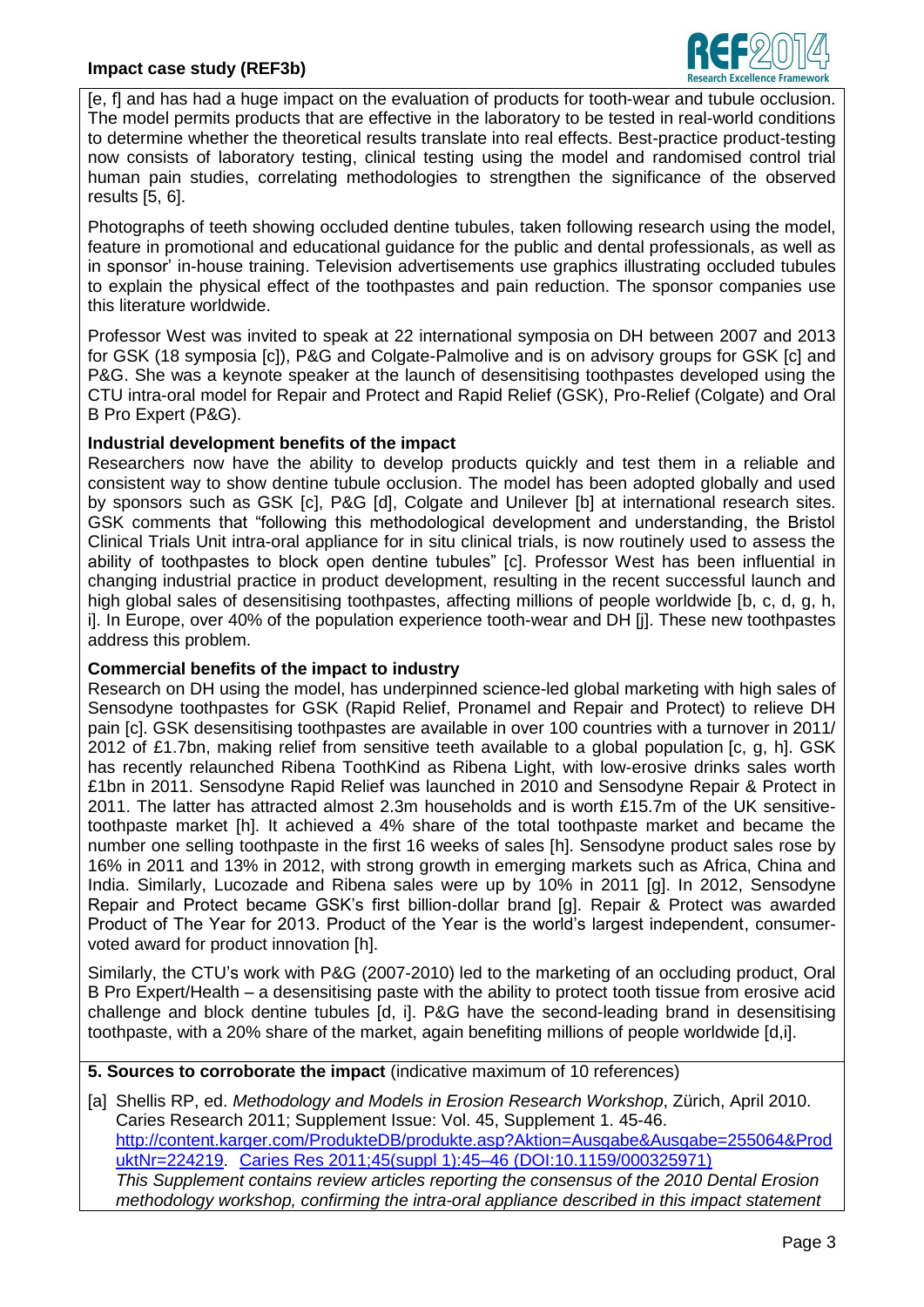

[e, f] and has had a huge impact on the evaluation of products for tooth-wear and tubule occlusion. The model permits products that are effective in the laboratory to be tested in real-world conditions to determine whether the theoretical results translate into real effects. Best-practice product-testing now consists of laboratory testing, clinical testing using the model and randomised control trial human pain studies, correlating methodologies to strengthen the significance of the observed results [5, 6].

Photographs of teeth showing occluded dentine tubules, taken following research using the model, feature in promotional and educational guidance for the public and dental professionals, as well as in sponsor' in-house training. Television advertisements use graphics illustrating occluded tubules to explain the physical effect of the toothpastes and pain reduction. The sponsor companies use this literature worldwide.

Professor West was invited to speak at 22 international symposia on DH between 2007 and 2013 for GSK (18 symposia [c]), P&G and Colgate-Palmolive and is on advisory groups for GSK [c] and P&G. She was a keynote speaker at the launch of desensitising toothpastes developed using the CTU intra-oral model for Repair and Protect and Rapid Relief (GSK), Pro-Relief (Colgate) and Oral B Pro Expert (P&G).

### **Industrial development benefits of the impact**

Researchers now have the ability to develop products quickly and test them in a reliable and consistent way to show dentine tubule occlusion. The model has been adopted globally and used by sponsors such as GSK [c], P&G [d], Colgate and Unilever [b] at international research sites. GSK comments that "following this methodological development and understanding, the Bristol Clinical Trials Unit intra-oral appliance for in situ clinical trials, is now routinely used to assess the ability of toothpastes to block open dentine tubules" [c]. Professor West has been influential in changing industrial practice in product development, resulting in the recent successful launch and high global sales of desensitising toothpastes, affecting millions of people worldwide [b, c, d, g, h, i]. In Europe, over 40% of the population experience tooth-wear and DH [j]. These new toothpastes address this problem.

### **Commercial benefits of the impact to industry**

Research on DH using the model, has underpinned science-led global marketing with high sales of Sensodyne toothpastes for GSK (Rapid Relief, Pronamel and Repair and Protect) to relieve DH pain [c]. GSK desensitising toothpastes are available in over 100 countries with a turnover in 2011/ 2012 of £1.7bn, making relief from sensitive teeth available to a global population [c, g, h]. GSK has recently relaunched Ribena ToothKind as Ribena Light, with low-erosive drinks sales worth £1bn in 2011. Sensodyne Rapid Relief was launched in 2010 and Sensodyne Repair & Protect in 2011. The latter has attracted almost 2.3m households and is worth £15.7m of the UK sensitivetoothpaste market [h]. It achieved a 4% share of the total toothpaste market and became the number one selling toothpaste in the first 16 weeks of sales [h]. Sensodyne product sales rose by 16% in 2011 and 13% in 2012, with strong growth in emerging markets such as Africa, China and India. Similarly, Lucozade and Ribena sales were up by 10% in 2011 [g]. In 2012, Sensodyne Repair and Protect became GSK's first billion-dollar brand [g]. Repair & Protect was awarded Product of The Year for 2013. Product of the Year is the world's largest independent, consumervoted award for product innovation [h].

Similarly, the CTU's work with P&G (2007-2010) led to the marketing of an occluding product, Oral B Pro Expert/Health – a desensitising paste with the ability to protect tooth tissue from erosive acid challenge and block dentine tubules [d, i]. P&G have the second-leading brand in desensitising toothpaste, with a 20% share of the market, again benefiting millions of people worldwide [d,i].

**5. Sources to corroborate the impact** (indicative maximum of 10 references)

[a] Shellis RP, ed. *Methodology and Models in Erosion Research Workshop*, Zürich, April 2010. Caries Research 2011; Supplement Issue: Vol. 45, Supplement 1. 45-46. [http://content.karger.com/ProdukteDB/produkte.asp?Aktion=Ausgabe&Ausgabe=255064&Prod](http://content.karger.com/ProdukteDB/produkte.asp?Aktion=Ausgabe&Ausgabe=255064&ProduktNr=224219) [uktNr=224219](http://content.karger.com/ProdukteDB/produkte.asp?Aktion=Ausgabe&Ausgabe=255064&ProduktNr=224219). Caries Res 2011;45(suppl 1):45–46 (DOI:10.1159/000325971) *This Supplement contains review articles reporting the consensus of the 2010 Dental Erosion methodology workshop, confirming the intra-oral appliance described in this impact statement*